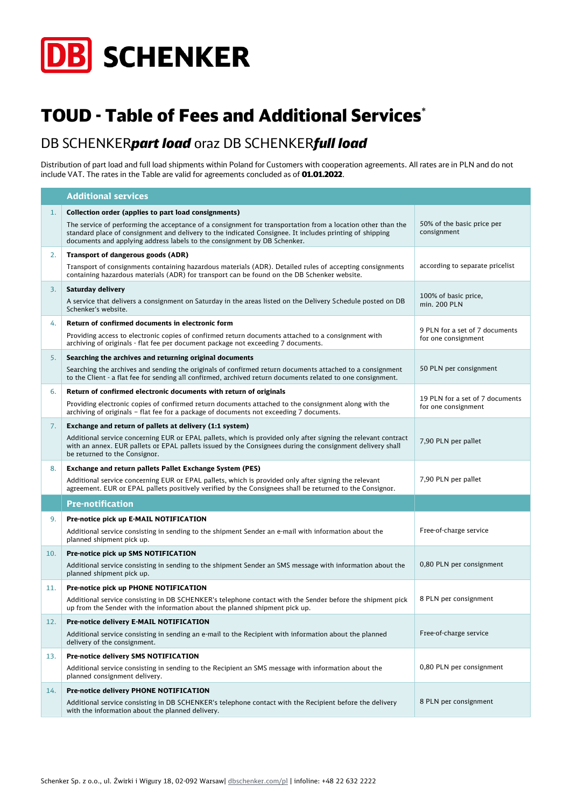

## TOUD - Table of Fees and Additional Services\*

## DB SCHENKER*part load* oraz DB SCHENKER*full load*

Distribution of part load and full load shipments within Poland for Customers with cooperation agreements. All rates are in PLN and do not include VAT. The rates in the Table are valid for agreements concluded as of 01.01.2022.

|     | <b>Additional services</b>                                                                                                                                                                                                                                                                         |                                                        |
|-----|----------------------------------------------------------------------------------------------------------------------------------------------------------------------------------------------------------------------------------------------------------------------------------------------------|--------------------------------------------------------|
| 1.  | Collection order (applies to part load consignments)                                                                                                                                                                                                                                               |                                                        |
|     | The service of performing the acceptance of a consignment for transportation from a location other than the<br>standard place of consignment and delivery to the indicated Consignee. It includes printing of shipping<br>documents and applying address labels to the consignment by DB Schenker. | 50% of the basic price per<br>consignment              |
| 2.  | Transport of dangerous goods (ADR)                                                                                                                                                                                                                                                                 |                                                        |
|     | Transport of consignments containing hazardous materials (ADR). Detailed rules of accepting consignments<br>containing hazardous materials (ADR) for transport can be found on the DB Schenker website.                                                                                            | according to separate pricelist                        |
| 3.  | Saturday delivery                                                                                                                                                                                                                                                                                  |                                                        |
|     | A service that delivers a consignment on Saturday in the areas listed on the Delivery Schedule posted on DB<br>Schenker's website.                                                                                                                                                                 | 100% of basic price,<br>min. 200 PLN                   |
| 4.  | Return of confirmed documents in electronic form                                                                                                                                                                                                                                                   |                                                        |
|     | Providing access to electronic copies of confirmed return documents attached to a consignment with<br>archiving of originals - flat fee per document package not exceeding 7 documents.                                                                                                            | 9 PLN for a set of 7 documents<br>for one consignment  |
| 5.  | Searching the archives and returning original documents                                                                                                                                                                                                                                            |                                                        |
|     | Searching the archives and sending the originals of confirmed return documents attached to a consignment<br>to the Client - a flat fee for sending all confirmed, archived return documents related to one consignment.                                                                            | 50 PLN per consignment                                 |
| 6.  | Return of confirmed electronic documents with return of originals                                                                                                                                                                                                                                  |                                                        |
|     | Providing electronic copies of confirmed return documents attached to the consignment along with the<br>archiving of originals - flat fee for a package of documents not exceeding 7 documents.                                                                                                    | 19 PLN for a set of 7 documents<br>for one consignment |
| 7.  | Exchange and return of pallets at delivery (1:1 system)                                                                                                                                                                                                                                            |                                                        |
|     | Additional service concerning EUR or EPAL pallets, which is provided only after signing the relevant contract<br>with an annex. EUR pallets or EPAL pallets issued by the Consignees during the consignment delivery shall<br>be returned to the Consignor.                                        | 7,90 PLN per pallet                                    |
| 8.  | Exchange and return pallets Pallet Exchange System (PES)                                                                                                                                                                                                                                           |                                                        |
|     | Additional service concerning EUR or EPAL pallets, which is provided only after signing the relevant<br>agreement. EUR or EPAL pallets positively verified by the Consignees shall be returned to the Consignor.                                                                                   | 7,90 PLN per pallet                                    |
|     | <b>Pre-notification</b>                                                                                                                                                                                                                                                                            |                                                        |
| 9.  | Pre-notice pick up E-MAIL NOTIFICATION                                                                                                                                                                                                                                                             |                                                        |
|     | Additional service consisting in sending to the shipment Sender an e-mail with information about the<br>planned shipment pick up.                                                                                                                                                                  | Free-of-charge service                                 |
| 10. | Pre-notice pick up SMS NOTIFICATION                                                                                                                                                                                                                                                                |                                                        |
|     | Additional service consisting in sending to the shipment Sender an SMS message with information about the<br>planned shipment pick up.                                                                                                                                                             | 0,80 PLN per consignment                               |
| 11. | Pre-notice pick up PHONE NOTIFICATION                                                                                                                                                                                                                                                              |                                                        |
|     | Additional service consisting in DB SCHENKER's telephone contact with the Sender before the shipment pick<br>up from the Sender with the information about the planned shipment pick up.                                                                                                           | 8 PLN per consignment                                  |
| 12. | Pre-notice delivery E-MAIL NOTIFICATION                                                                                                                                                                                                                                                            |                                                        |
|     | Additional service consisting in sending an e-mail to the Recipient with information about the planned<br>delivery of the consignment.                                                                                                                                                             | Free-of-charge service                                 |
| 13. | Pre-notice delivery SMS NOTIFICATION                                                                                                                                                                                                                                                               |                                                        |
|     | Additional service consisting in sending to the Recipient an SMS message with information about the<br>planned consignment delivery.                                                                                                                                                               | 0,80 PLN per consignment                               |
| 14. | Pre-notice delivery PHONE NOTIFICATION                                                                                                                                                                                                                                                             |                                                        |
|     | Additional service consisting in DB SCHENKER's telephone contact with the Recipient before the delivery<br>with the information about the planned delivery.                                                                                                                                        | 8 PLN per consignment                                  |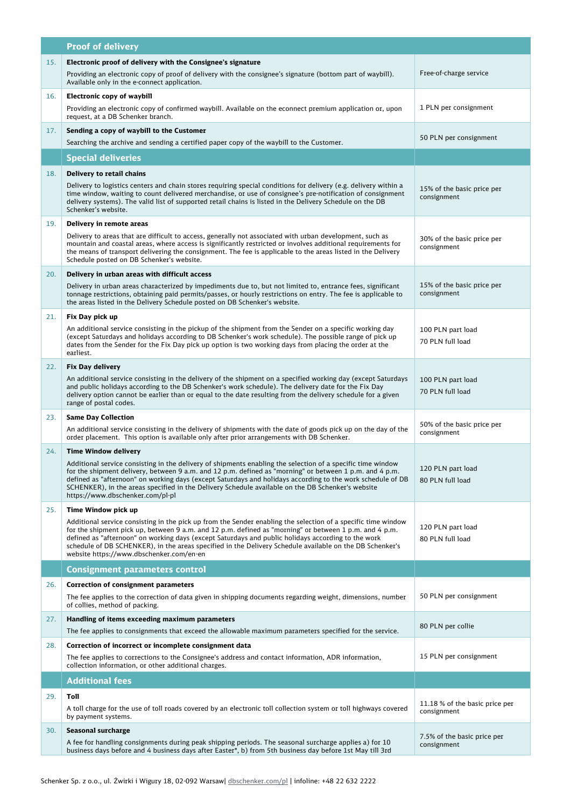|     | <b>Proof of delivery</b>                                                                                                                                                                                                                                                                                                                                                                                                                                                              |                                               |
|-----|---------------------------------------------------------------------------------------------------------------------------------------------------------------------------------------------------------------------------------------------------------------------------------------------------------------------------------------------------------------------------------------------------------------------------------------------------------------------------------------|-----------------------------------------------|
| 15. | Electronic proof of delivery with the Consignee's signature<br>Providing an electronic copy of proof of delivery with the consignee's signature (bottom part of waybill).<br>Available only in the e-connect application.                                                                                                                                                                                                                                                             | Free-of-charge service                        |
| 16. | Electronic copy of waybill<br>Providing an electronic copy of confirmed waybill. Available on the econnect premium application or, upon                                                                                                                                                                                                                                                                                                                                               | 1 PLN per consignment                         |
|     | request, at a DB Schenker branch.                                                                                                                                                                                                                                                                                                                                                                                                                                                     |                                               |
| 17. | Sending a copy of waybill to the Customer<br>Searching the archive and sending a certified paper copy of the waybill to the Customer.                                                                                                                                                                                                                                                                                                                                                 | 50 PLN per consignment                        |
|     | <b>Special deliveries</b>                                                                                                                                                                                                                                                                                                                                                                                                                                                             |                                               |
| 18. | Delivery to retail chains                                                                                                                                                                                                                                                                                                                                                                                                                                                             |                                               |
|     | Delivery to logistics centers and chain stores requiring special conditions for delivery (e.g. delivery within a<br>time window, waiting to count delivered merchandise, or use of consignee's pre-notification of consignment<br>delivery systems). The valid list of supported retail chains is listed in the Delivery Schedule on the DB<br>Schenker's website.                                                                                                                    | 15% of the basic price per<br>consignment     |
| 19. | Delivery in remote areas                                                                                                                                                                                                                                                                                                                                                                                                                                                              |                                               |
|     | Delivery to areas that are difficult to access, generally not associated with urban development, such as<br>mountain and coastal areas, where access is significantly restricted or involves additional requirements for<br>the means of transport delivering the consignment. The fee is applicable to the areas listed in the Delivery<br>Schedule posted on DB Schenker's website.                                                                                                 | 30% of the basic price per<br>consignment     |
| 20. | Delivery in urban areas with difficult access                                                                                                                                                                                                                                                                                                                                                                                                                                         |                                               |
|     | Delivery in urban areas characterized by impediments due to, but not limited to, entrance fees, significant<br>tonnage restrictions, obtaining paid permits/passes, or hourly restrictions on entry. The fee is applicable to<br>the areas listed in the Delivery Schedule posted on DB Schenker's website.                                                                                                                                                                           | 15% of the basic price per<br>consignment     |
| 21. | Fix Day pick up                                                                                                                                                                                                                                                                                                                                                                                                                                                                       |                                               |
|     | An additional service consisting in the pickup of the shipment from the Sender on a specific working day<br>(except Saturdays and holidays according to DB Schenker's work schedule). The possible range of pick up<br>dates from the Sender for the Fix Day pick up option is two working days from placing the order at the<br>earliest.                                                                                                                                            | 100 PLN part load<br>70 PLN full load         |
| 22. | <b>Fix Day delivery</b>                                                                                                                                                                                                                                                                                                                                                                                                                                                               |                                               |
|     | An additional service consisting in the delivery of the shipment on a specified working day (except Saturdays<br>and public holidays according to the DB Schenker's work schedule). The delivery date for the Fix Day<br>delivery option cannot be earlier than or equal to the date resulting from the delivery schedule for a given<br>range of postal codes.                                                                                                                       | 100 PLN part load<br>70 PLN full load         |
| 23. | <b>Same Day Collection</b>                                                                                                                                                                                                                                                                                                                                                                                                                                                            |                                               |
|     | An additional service consisting in the delivery of shipments with the date of goods pick up on the day of the<br>order placement. This option is available only after prior arrangements with DB Schenker.                                                                                                                                                                                                                                                                           | 50% of the basic price per<br>consignment     |
| 24. | <b>Time Window delivery</b>                                                                                                                                                                                                                                                                                                                                                                                                                                                           |                                               |
|     | Additional service consisting in the delivery of shipments enabling the selection of a specific time window<br>for the shipment delivery, between 9 a.m. and 12 p.m. defined as "morning" or between 1 p.m. and 4 p.m.<br>defined as "afternoon" on working days (except Saturdays and holidays according to the work schedule of DB<br>SCHENKER), in the areas specified in the Delivery Schedule available on the DB Schenker's website<br>https://www.dbschenker.com/pl-pl         | 120 PLN part load<br>80 PLN full load         |
| 25. | Time Window pick up                                                                                                                                                                                                                                                                                                                                                                                                                                                                   |                                               |
|     | Additional service consisting in the pick up from the Sender enabling the selection of a specific time window<br>for the shipment pick up, between 9 a.m. and 12 p.m. defined as "morning" or between 1 p.m. and 4 p.m.<br>defined as "afternoon" on working days (except Saturdays and public holidays according to the work<br>schedule of DB SCHENKER), in the areas specified in the Delivery Schedule available on the DB Schenker's<br>website https://www.dbschenker.com/en-en | 120 PLN part load<br>80 PLN full load         |
|     | <b>Consignment parameters control</b>                                                                                                                                                                                                                                                                                                                                                                                                                                                 |                                               |
| 26. | <b>Correction of consignment parameters</b>                                                                                                                                                                                                                                                                                                                                                                                                                                           |                                               |
|     | The fee applies to the correction of data given in shipping documents regarding weight, dimensions, number<br>of collies, method of packing.                                                                                                                                                                                                                                                                                                                                          | 50 PLN per consignment                        |
| 27. | Handling of items exceeding maximum parameters<br>The fee applies to consignments that exceed the allowable maximum parameters specified for the service.                                                                                                                                                                                                                                                                                                                             | 80 PLN per collie                             |
| 28. | Correction of incorrect or incomplete consignment data                                                                                                                                                                                                                                                                                                                                                                                                                                |                                               |
|     | The fee applies to corrections to the Consignee's address and contact information, ADR information,<br>collection information, or other additional charges.                                                                                                                                                                                                                                                                                                                           | 15 PLN per consignment                        |
|     | <b>Additional fees</b>                                                                                                                                                                                                                                                                                                                                                                                                                                                                |                                               |
| 29. | Toll                                                                                                                                                                                                                                                                                                                                                                                                                                                                                  |                                               |
|     | A toll charge for the use of toll roads covered by an electronic toll collection system or toll highways covered<br>by payment systems.                                                                                                                                                                                                                                                                                                                                               | 11.18 % of the basic price per<br>consignment |
| 30. | Seasonal surcharge<br>A fee for handling consignments during peak shipping periods. The seasonal surcharge applies a) for 10<br>business days before and 4 business days after Easter*, b) from 5th business day before 1st May till 3rd                                                                                                                                                                                                                                              | 7.5% of the basic price per<br>consignment    |